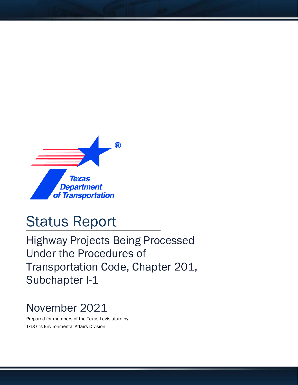

## Status Report

Highway Projects Being Processed Under the Procedures of Transportation Code, Chapter 201, Subchapter I-1

## November 2021

Prepared for members of the Texas Legislature by TxDOT's Environmental Affairs Division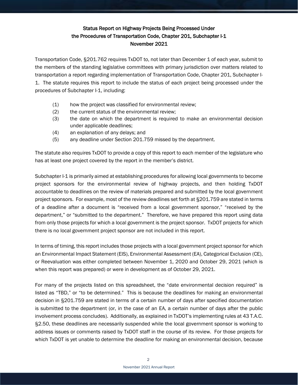## Status Report on Highway Projects Being Processed Under the Procedures of Transportation Code, Chapter 201, Subchapter I-1 November 2021

Transportation Code, §201.762 requires TxDOT to, not later than December 1 of each year, submit to the members of the standing legislative committees with primary jurisdiction over matters related to transportation a report regarding implementation of Transportation Code, Chapter 201, Subchapter I-1. The statute requires this report to include the status of each project being processed under the procedures of Subchapter I-1, including:

- (1) how the project was classified for environmental review;
- (2) the current status of the environmental review;
- (3) the date on which the department is required to make an environmental decision under applicable deadlines;
- (4) an explanation of any delays; and
- (5) any deadline under Section 201.759 missed by the department.

The statute also requires TxDOT to provide a copy of this report to each member of the legislature who has at least one project covered by the report in the member's district.

Subchapter I-1 is primarily aimed at establishing procedures for allowing local governments to become project sponsors for the environmental review of highway projects, and then holding TxDOT accountable to deadlines on the review of materials prepared and submitted by the local government project sponsors. For example, most of the review deadlines set forth at §201.759 are stated in terms of a deadline after a document is "received from a local government sponsor," "received by the department," or "submitted to the department." Therefore, we have prepared this report using data from only those projects for which a local government is the project sponsor. TxDOT projects for which there is no local government project sponsor are not included in this report.

In terms of timing, this report includes those projects with a local government project sponsor for which an Environmental Impact Statement (EIS), Environmental Assessment (EA), Categorical Exclusion (CE), or Reevaluation was either completed between November 1, 2020 and October 29, 2021 (which is when this report was prepared) or were in development as of October 29, 2021.

For many of the projects listed on this spreadsheet, the "date environmental decision required" is listed as "TBD," or "to be determined." This is because the deadlines for making an environmental decision in §201.759 are stated in terms of a certain number of days after specified documentation is submitted to the department (or, in the case of an EA, a certain number of days after the public involvement process concludes). Additionally, as explained in TxDOT's implementing rules at 43 T.A.C. §2.50, these deadlines are necessarily suspended while the local government sponsor is working to address issues or comments raised by TxDOT staff in the course of its review. For those projects for which TxDOT is yet unable to determine the deadline for making an environmental decision, because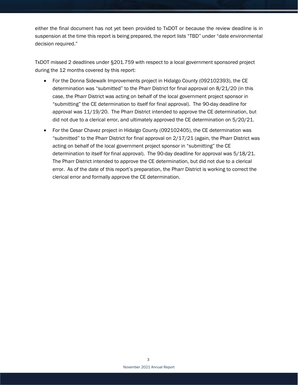either the final document has not yet been provided to TxDOT or because the review deadline is in suspension at the time this report is being prepared, the report lists "TBD" under "date environmental decision required."

TxDOT missed 2 deadlines under §201.759 with respect to a local government sponsored project during the 12 months covered by this report:

- For the Donna Sidewalk Improvements project in Hidalgo County (092102393), the CE determination was "submitted" to the Pharr District for final approval on 8/21/20 (in this case, the Pharr District was acting on behalf of the local government project sponsor in "submitting" the CE determination to itself for final approval). The 90-day deadline for approval was 11/19/20. The Pharr District intended to approve the CE determination, but did not due to a clerical error, and ultimately approved the CE determination on 5/20/21.
- For the Cesar Chavez project in Hidalgo County (092102405), the CE determination was "submitted" to the Pharr District for final approval on 2/17/21 (again, the Pharr District was acting on behalf of the local government project sponsor in "submitting" the CE determination to itself for final approval). The 90-day deadline for approval was 5/18/21. The Pharr District intended to approve the CE determination, but did not due to a clerical error. As of the date of this report's preparation, the Pharr District is working to correct the clerical error and formally approve the CE determination.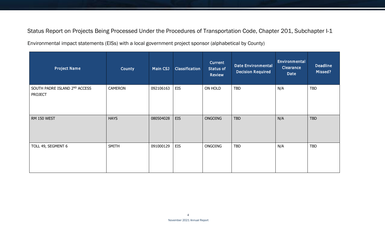Status Report on Projects Being Processed Under the Procedures of Transportation Code, Chapter 201, Subchapter I-1

Environmental impact statements (EISs) with a local government project sponsor (alphabetical by County)

| <b>Project Name</b>                             | County         | Main CSJ  | Classification | <b>Current</b><br><b>Status of</b><br><b>Review</b> | <b>Date Environmental</b><br><b>Decision Required</b> | Environmental<br><b>Clearance</b><br>Date | <b>Deadline</b><br>Missed? |
|-------------------------------------------------|----------------|-----------|----------------|-----------------------------------------------------|-------------------------------------------------------|-------------------------------------------|----------------------------|
| SOUTH PADRE ISLAND 2ND ACCESS<br><b>PROJECT</b> | <b>CAMERON</b> | 092106163 | <b>EIS</b>     | ON HOLD                                             | <b>TBD</b>                                            | N/A                                       | <b>TBD</b>                 |
| RM 150 WEST                                     | <b>HAYS</b>    | 080504028 | <b>EIS</b>     | ONGOING                                             | <b>TBD</b>                                            | N/A                                       | <b>TBD</b>                 |
| TOLL 49, SEGMENT 6                              | SMITH          | 091000129 | <b>EIS</b>     | ONGOING                                             | <b>TBD</b>                                            | N/A                                       | <b>TBD</b>                 |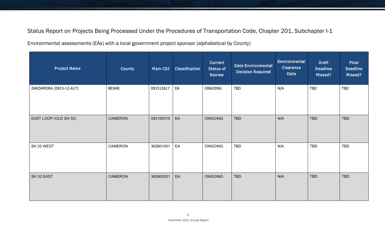Status Report on Projects Being Processed Under the Procedures of Transportation Code, Chapter 201, Subchapter I-1

Environmental assessments (EAs) with a local government project sponsor (alphabetical by County)

| <b>Project Name</b>     | County         | <b>Main CSJ</b> | Classification | <b>Current</b><br><b>Status of</b><br>Review | <b>Date Environmental</b><br><b>Decision Required</b> | Environmental<br><b>Clearance</b><br>Date | <b>Draft</b><br><b>Deadline</b><br>Missed? | <b>Final</b><br><b>Deadline</b><br>Missed? |
|-------------------------|----------------|-----------------|----------------|----------------------------------------------|-------------------------------------------------------|-------------------------------------------|--------------------------------------------|--------------------------------------------|
| ZARZAMORA (0915-12-617) | <b>BEXAR</b>   | 091512617       | EA             | ONGOING                                      | <b>TBD</b>                                            | N/A                                       | TBD                                        | <b>TBD</b>                                 |
| EAST LOOP (OLD SH 32)   | CAMERON        | 092106315       | EA             | ONGOING                                      | <b>TBD</b>                                            | N/A                                       | <b>TBD</b>                                 | <b>TBD</b>                                 |
| SH 32 WEST              | CAMERON        | 362601001       | EA             | ONGOING                                      | TBD                                                   | N/A                                       | <b>TBD</b>                                 | TBD                                        |
| SH 32 EAST              | <b>CAMERON</b> | 362602001       | EA             | ONGOING                                      | <b>TBD</b>                                            | N/A                                       | TBD                                        | TBD                                        |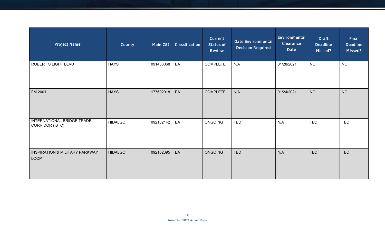| <b>Project Name</b>                               | County         | Main CSJ  | Classification | Current<br><b>Status of</b><br><b>Review</b> | <b>Date Environmental</b><br><b>Decision Required</b> | Environmental<br><b>Clearance</b><br>Date | <b>Draft</b><br><b>Deadline</b><br>Missed? | <b>Final</b><br><b>Deadline</b><br>Missed? |
|---------------------------------------------------|----------------|-----------|----------------|----------------------------------------------|-------------------------------------------------------|-------------------------------------------|--------------------------------------------|--------------------------------------------|
| ROBERT S LIGHT BLVD                               | <b>HAYS</b>    | 091433068 | EA             | <b>COMPLETE</b>                              | N/A                                                   | 01/28/2021                                | <b>NO</b>                                  | <b>NO</b>                                  |
| FM 2001                                           | <b>HAYS</b>    | 177602018 | EA             | <b>COMPLETE</b>                              | N/A                                                   | 01/24/2021                                | <b>NO</b>                                  | <b>NO</b>                                  |
| INTERNATIONAL BRIDGE TRADE<br>CORRIDOR (IBTC)     | <b>HIDALGO</b> | 092102142 | EA             | ONGOING                                      | TBD                                                   | N/A                                       | TBD                                        | TBD                                        |
| <b>INSPIRATION &amp; MILITARY PARKWAY</b><br>LOOP | <b>HIDALGO</b> | 092102395 | EA             | <b>ONGOING</b>                               | <b>TBD</b>                                            | N/A                                       | <b>TBD</b>                                 | <b>TBD</b>                                 |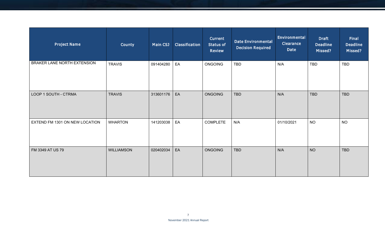| <b>Project Name</b>            | County            | Main CSJ  | Classification | Current<br><b>Status of</b><br><b>Review</b> | <b>Date Environmental</b><br><b>Decision Required</b> | Environmental<br><b>Clearance</b><br>Date | <b>Draft</b><br><b>Deadline</b><br>Missed? | <b>Final</b><br><b>Deadline</b><br>Missed? |
|--------------------------------|-------------------|-----------|----------------|----------------------------------------------|-------------------------------------------------------|-------------------------------------------|--------------------------------------------|--------------------------------------------|
| BRAKER LANE NORTH EXTENSION    | <b>TRAVIS</b>     | 091404280 | EA             | <b>ONGOING</b>                               | <b>TBD</b>                                            | N/A                                       | TBD                                        | TBD                                        |
| LOOP 1 SOUTH - CTRMA           | <b>TRAVIS</b>     | 313601176 | EA             | <b>ONGOING</b>                               | <b>TBD</b>                                            | N/A                                       | <b>TBD</b>                                 | <b>TBD</b>                                 |
| EXTEND FM 1301 ON NEW LOCATION | <b>WHARTON</b>    | 141203038 | EA             | <b>COMPLETE</b>                              | N/A                                                   | 01/10/2021                                | <b>NO</b>                                  | <b>NO</b>                                  |
| FM 3349 AT US 79               | <b>WILLIAMSON</b> | 020402034 | EA             | <b>ONGOING</b>                               | <b>TBD</b>                                            | N/A                                       | <b>NO</b>                                  | <b>TBD</b>                                 |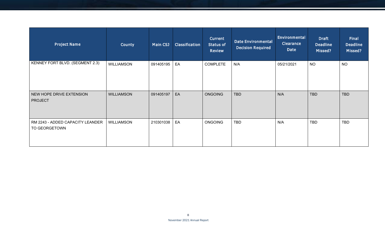| <b>Project Name</b>                               | County            | Main CSJ  | Classification | Current<br><b>Status of</b><br><b>Review</b> | <b>Date Environmental</b><br><b>Decision Required</b> | Environmental<br><b>Clearance</b><br>Date | <b>Draft</b><br><b>Deadline</b><br>Missed? | Final<br><b>Deadline</b><br>Missed? |
|---------------------------------------------------|-------------------|-----------|----------------|----------------------------------------------|-------------------------------------------------------|-------------------------------------------|--------------------------------------------|-------------------------------------|
| KENNEY FORT BLVD. (SEGMENT 2.3)                   | <b>WILLIAMSON</b> | 091405195 | EA             | <b>COMPLETE</b>                              | N/A                                                   | 05/21/2021                                | <b>NO</b>                                  | <b>NO</b>                           |
| NEW HOPE DRIVE EXTENSION<br><b>PROJECT</b>        | <b>WILLIAMSON</b> | 091405197 | EA             | <b>ONGOING</b>                               | <b>TBD</b>                                            | N/A                                       | <b>TBD</b>                                 | <b>TBD</b>                          |
| RM 2243 - ADDED CAPACITY LEANDER<br>TO GEORGETOWN | <b>WILLIAMSON</b> | 210301038 | EA             | <b>ONGOING</b>                               | <b>TBD</b>                                            | N/A                                       | TBD                                        | TBD                                 |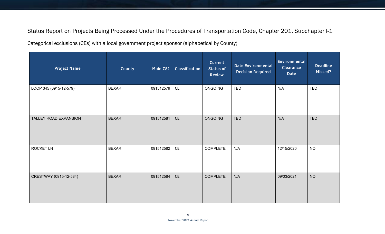Status Report on Projects Being Processed Under the Procedures of Transportation Code, Chapter 201, Subchapter I-1

Categorical exclusions (CEs) with a local government project sponsor (alphabetical by County)

| <b>Project Name</b>    | County       | <b>Main CSJ</b> | <b>Classification</b>         | Current<br><b>Status of</b><br>Review | <b>Date Environmental</b><br><b>Decision Required</b> | Environmental<br>Clearance<br>Date | <b>Deadline</b><br>Missed? |
|------------------------|--------------|-----------------|-------------------------------|---------------------------------------|-------------------------------------------------------|------------------------------------|----------------------------|
| LOOP 345 (0915-12-579) | <b>BEXAR</b> | 091512579       | ${\sf CE}$                    | ONGOING                               | TBD                                                   | N/A                                | TBD                        |
| TALLEY ROAD EXPANSION  | <b>BEXAR</b> | 091512581       | $\mathsf{CE}% _{\mathcal{A}}$ | <b>ONGOING</b>                        | <b>TBD</b>                                            | N/A                                | <b>TBD</b>                 |
| ROCKET LN              | <b>BEXAR</b> | 091512582       | $\mathsf{CE}% _{\mathcal{A}}$ | <b>COMPLETE</b>                       | N/A                                                   | 12/15/2020                         | <b>NO</b>                  |
| CRESTWAY (0915-12-584) | <b>BEXAR</b> | 091512584       | $\mathsf{CE}% _{\mathcal{A}}$ | <b>COMPLETE</b>                       | N/A                                                   | 09/03/2021                         | <b>NO</b>                  |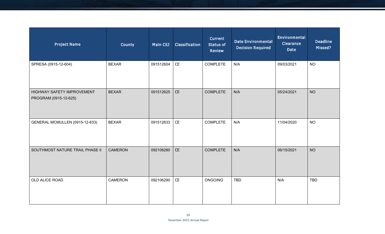| <b>Project Name</b>                                 | <b>County</b>  | Main CSJ  | Classification                | Current<br><b>Status of</b><br><b>Review</b> | <b>Date Environmental</b><br><b>Decision Required</b> | Environmental<br><b>Clearance</b><br>Date | <b>Deadline</b><br>Missed? |
|-----------------------------------------------------|----------------|-----------|-------------------------------|----------------------------------------------|-------------------------------------------------------|-------------------------------------------|----------------------------|
| SPRESA (0915-12-604)                                | <b>BEXAR</b>   | 091512604 | $\mathsf{CE}% _{\mathcal{A}}$ | <b>COMPLETE</b>                              | N/A                                                   | 09/03/2021                                | <b>NO</b>                  |
| HIGHWAY SAFETY IMPROVEMENT<br>PROGRAM (0915-12-625) | <b>BEXAR</b>   | 091512625 | CE                            | <b>COMPLETE</b>                              | N/A                                                   | 05/24/2021                                | <b>NO</b>                  |
| <b>GENERAL MCMULLEN (0915-12-633)</b>               | <b>BEXAR</b>   | 091512633 | $\mathsf{CE}% _{\mathcal{A}}$ | <b>COMPLETE</b>                              | N/A                                                   | 11/04/2020                                | <b>NO</b>                  |
| SOUTHMOST NATURE TRAIL PHASE II                     | <b>CAMERON</b> | 092106280 | CE                            | <b>COMPLETE</b>                              | N/A                                                   | 06/15/2021                                | <b>NO</b>                  |
| OLD ALICE ROAD                                      | CAMERON        | 092106290 | $\mathsf{CE}% _{\mathcal{A}}$ | <b>ONGOING</b>                               | <b>TBD</b>                                            | N/A                                       | <b>TBD</b>                 |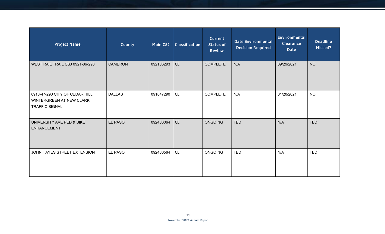| <b>Project Name</b>                                                                 | County         | Main CSJ  | Classification | <b>Current</b><br><b>Status of</b><br><b>Review</b> | <b>Date Environmental</b><br><b>Decision Required</b> | Environmental<br><b>Clearance</b><br>Date | <b>Deadline</b><br>Missed? |
|-------------------------------------------------------------------------------------|----------------|-----------|----------------|-----------------------------------------------------|-------------------------------------------------------|-------------------------------------------|----------------------------|
| WEST RAIL TRAIL CSJ 0921-06-293                                                     | <b>CAMERON</b> | 092106293 | <b>CE</b>      | <b>COMPLETE</b>                                     | N/A                                                   | 09/29/2021                                | <b>NO</b>                  |
| 0918-47-290 CITY OF CEDAR HILL<br>WINTERGREEN AT NEW CLARK<br><b>TRAFFIC SIGNAL</b> | <b>DALLAS</b>  | 091847290 | CE             | <b>COMPLETE</b>                                     | N/A                                                   | 01/20/2021                                | <b>NO</b>                  |
| UNIVERSITY AVE PED & BIKE<br><b>ENHANCEMENT</b>                                     | EL PASO        | 092406064 | <b>CE</b>      | <b>ONGOING</b>                                      | <b>TBD</b>                                            | N/A                                       | <b>TBD</b>                 |
| JOHN HAYES STREET EXTENSION                                                         | EL PASO        | 092406564 | CE             | <b>ONGOING</b>                                      | <b>TBD</b>                                            | N/A                                       | <b>TBD</b>                 |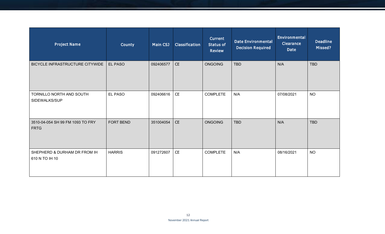| <b>Project Name</b>                             | <b>County</b>  | Main CSJ  | Classification                | <b>Current</b><br><b>Status of</b><br><b>Review</b> | <b>Date Environmental</b><br><b>Decision Required</b> | Environmental<br><b>Clearance</b><br><b>Date</b> | <b>Deadline</b><br>Missed? |
|-------------------------------------------------|----------------|-----------|-------------------------------|-----------------------------------------------------|-------------------------------------------------------|--------------------------------------------------|----------------------------|
| BICYCLE INFRASTRUCTURE CITYWIDE                 | <b>EL PASO</b> | 092406577 | <b>CE</b>                     | <b>ONGOING</b>                                      | <b>TBD</b>                                            | N/A                                              | <b>TBD</b>                 |
| TORNILLO NORTH AND SOUTH<br>SIDEWALKS/SUP       | <b>EL PASO</b> | 092406616 | $\mathsf{CE}% _{\mathcal{A}}$ | <b>COMPLETE</b>                                     | N/A                                                   | 07/08/2021                                       | <b>NO</b>                  |
| 3510-04-054 SH 99 FM 1093 TO FRY<br><b>FRTG</b> | FORT BEND      | 351004054 | CE                            | <b>ONGOING</b>                                      | <b>TBD</b>                                            | N/A                                              | <b>TBD</b>                 |
| SHEPHERD & DURHAM DR FROM IH<br>610 N TO IH 10  | <b>HARRIS</b>  | 091272607 | $\mathsf{CE}% _{\mathcal{A}}$ | <b>COMPLETE</b>                                     | N/A                                                   | 08/16/2021                                       | <b>NO</b>                  |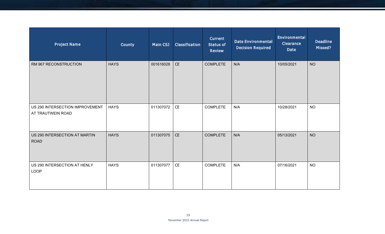| <b>Project Name</b>                                  | County      | <b>Main CSJ</b> | Classification                | <b>Current</b><br><b>Status of</b><br><b>Review</b> | <b>Date Environmental</b><br><b>Decision Required</b> | Environmental<br>Clearance<br>Date | <b>Deadline</b><br>Missed? |
|------------------------------------------------------|-------------|-----------------|-------------------------------|-----------------------------------------------------|-------------------------------------------------------|------------------------------------|----------------------------|
| RM 967 RECONSTRUCTION                                | <b>HAYS</b> | 001616028       | CE                            | <b>COMPLETE</b>                                     | N/A                                                   | 10/05/2021                         | <b>NO</b>                  |
| US 290 INTERSECTION IMPROVEMENT<br>AT TRAUTWEIN ROAD | <b>HAYS</b> | 011307072       | $\mathsf{CE}% _{\mathcal{A}}$ | <b>COMPLETE</b>                                     | N/A                                                   | 10/28/2021                         | <b>NO</b>                  |
| US 290 INTERSECTION AT MARTIN<br><b>ROAD</b>         | <b>HAYS</b> | 011307075       | CE                            | <b>COMPLETE</b>                                     | N/A                                                   | 05/13/2021                         | <b>NO</b>                  |
| US 290 INTERSECTION AT HENLY<br><b>LOOP</b>          | <b>HAYS</b> | 011307077       | $\mathsf{CE}% _{\mathcal{A}}$ | <b>COMPLETE</b>                                     | N/A                                                   | 07/16/2021                         | <b>NO</b>                  |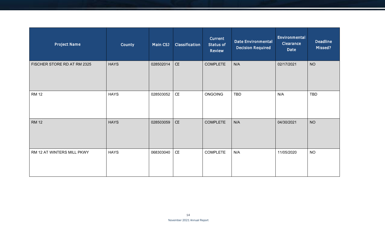| <b>Project Name</b>         | County      | Main CSJ  | Classification                                                     | Current<br>Status of<br>Review | <b>Date Environmental</b><br><b>Decision Required</b> | Environmental<br><b>Clearance</b><br>Date | <b>Deadline</b><br>Missed? |
|-----------------------------|-------------|-----------|--------------------------------------------------------------------|--------------------------------|-------------------------------------------------------|-------------------------------------------|----------------------------|
| FISCHER STORE RD AT RM 2325 | <b>HAYS</b> | 028502014 | CE                                                                 | <b>COMPLETE</b>                | N/A                                                   | 02/17/2021                                | <b>NO</b>                  |
| <b>RM 12</b>                | <b>HAYS</b> | 028503052 | $\mathsf{CE}% _{\mathcal{A}}\left( \mathcal{A},\mathcal{A}\right)$ | ONGOING                        | <b>TBD</b>                                            | N/A                                       | <b>TBD</b>                 |
| <b>RM 12</b>                | <b>HAYS</b> | 028503059 | CE                                                                 | <b>COMPLETE</b>                | N/A                                                   | 04/30/2021                                | <b>NO</b>                  |
| RM 12 AT WINTERS MILL PKWY  | <b>HAYS</b> | 068303040 | CE                                                                 | <b>COMPLETE</b>                | N/A                                                   | 11/05/2020                                | <b>NO</b>                  |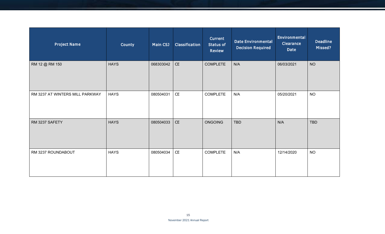| <b>Project Name</b>             | County      | Main CSJ  | Classification                                                     | Current<br><b>Status of</b><br><b>Review</b> | <b>Date Environmental</b><br><b>Decision Required</b> | Environmental<br><b>Clearance</b><br>Date | <b>Deadline</b><br>Missed? |
|---------------------------------|-------------|-----------|--------------------------------------------------------------------|----------------------------------------------|-------------------------------------------------------|-------------------------------------------|----------------------------|
| RM 12 @ RM 150                  | <b>HAYS</b> | 068303042 | CE                                                                 | <b>COMPLETE</b>                              | N/A                                                   | 06/03/2021                                | <b>NO</b>                  |
| RM 3237 AT WINTERS MILL PARKWAY | <b>HAYS</b> | 080504031 | $\mathsf{CE}% _{\mathcal{A}}\left( \mathcal{A},\mathcal{A}\right)$ | <b>COMPLETE</b>                              | N/A                                                   | 05/20/2021                                | <b>NO</b>                  |
| RM 3237 SAFETY                  | <b>HAYS</b> | 080504033 | CE                                                                 | <b>ONGOING</b>                               | TBD                                                   | N/A                                       | <b>TBD</b>                 |
| RM 3237 ROUNDABOUT              | <b>HAYS</b> | 080504034 | $\mathsf{CE}% _{\mathcal{A}}$                                      | <b>COMPLETE</b>                              | N/A                                                   | 12/14/2020                                | <b>NO</b>                  |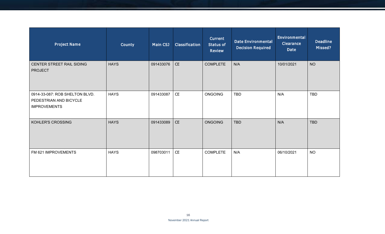| <b>Project Name</b>                                                             | <b>County</b> | Main CSJ  | Classification                | <b>Current</b><br><b>Status of</b><br><b>Review</b> | <b>Date Environmental</b><br><b>Decision Required</b> | Environmental<br><b>Clearance</b><br><b>Date</b> | <b>Deadline</b><br>Missed? |
|---------------------------------------------------------------------------------|---------------|-----------|-------------------------------|-----------------------------------------------------|-------------------------------------------------------|--------------------------------------------------|----------------------------|
| CENTER STREET RAIL SIDING<br><b>PROJECT</b>                                     | <b>HAYS</b>   | 091433076 | CE                            | <b>COMPLETE</b>                                     | N/A                                                   | 10/01/2021                                       | <b>NO</b>                  |
| 0914-33-087: ROB SHELTON BLVD.<br>PEDESTRIAN AND BICYCLE<br><b>IMPROVEMENTS</b> | <b>HAYS</b>   | 091433087 | $\mathsf{CE}% _{\mathcal{A}}$ | <b>ONGOING</b>                                      | TBD                                                   | N/A                                              | <b>TBD</b>                 |
| KOHLER'S CROSSING                                                               | <b>HAYS</b>   | 091433089 | CE                            | <b>ONGOING</b>                                      | <b>TBD</b>                                            | N/A                                              | <b>TBD</b>                 |
| FM 621 IMPROVEMENTS                                                             | <b>HAYS</b>   | 098703011 | $\mathsf{CE}% _{\mathcal{A}}$ | <b>COMPLETE</b>                                     | N/A                                                   | 06/10/2021                                       | <b>NO</b>                  |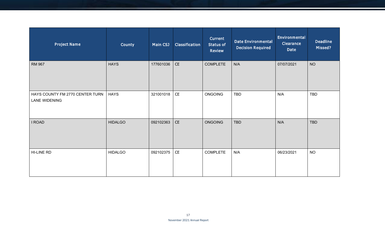| <b>Project Name</b>                                     | <b>County</b>  | Main CSJ  | Classification                                                     | <b>Current</b><br>Status of<br><b>Review</b> | <b>Date Environmental</b><br><b>Decision Required</b> | Environmental<br>Clearance<br>Date | <b>Deadline</b><br>Missed? |
|---------------------------------------------------------|----------------|-----------|--------------------------------------------------------------------|----------------------------------------------|-------------------------------------------------------|------------------------------------|----------------------------|
| <b>RM 967</b>                                           | <b>HAYS</b>    | 177601036 | CE                                                                 | <b>COMPLETE</b>                              | N/A                                                   | 07/07/2021                         | <b>NO</b>                  |
| HAYS COUNTY FM 2770 CENTER TURN<br><b>LANE WIDENING</b> | <b>HAYS</b>    | 321001018 | $\mathsf{CE}% _{\mathcal{A}}\left( \mathcal{A},\mathcal{A}\right)$ | <b>ONGOING</b>                               | TBD                                                   | N/A                                | TBD                        |
| I ROAD                                                  | <b>HIDALGO</b> | 092102363 | $\mathsf{CE}% _{\mathcal{A}}$                                      | <b>ONGOING</b>                               | <b>TBD</b>                                            | N/A                                | <b>TBD</b>                 |
| HI-LINE RD                                              | <b>HIDALGO</b> | 092102375 | $\mathsf{CE}% _{\mathcal{A}}\left( \mathcal{A},\mathcal{A}\right)$ | <b>COMPLETE</b>                              | N/A                                                   | 06/23/2021                         | <b>NO</b>                  |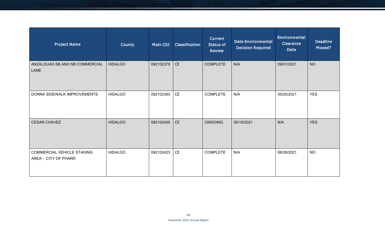| <b>Project Name</b>                                       | <b>County</b>  | Main CSJ  | Classification | <b>Current</b><br><b>Status of</b><br><b>Review</b> | <b>Date Environmental</b><br><b>Decision Required</b> | Environmental<br><b>Clearance</b><br><b>Date</b> | <b>Deadline</b><br>Missed? |
|-----------------------------------------------------------|----------------|-----------|----------------|-----------------------------------------------------|-------------------------------------------------------|--------------------------------------------------|----------------------------|
| ANZALDUAS SB AND NB COMMERCIAL<br><b>LANE</b>             | <b>HIDALGO</b> | 092102379 | CE             | <b>COMPLETE</b>                                     | N/A                                                   | 09/01/2021                                       | <b>NO</b>                  |
| DONNA SIDEWALK IMPROVEMENTS                               | <b>HIDALGO</b> | 092102393 | CE             | <b>COMPLETE</b>                                     | N/A                                                   | 05/20/2021                                       | <b>YES</b>                 |
| <b>CESAR CHAVEZ</b>                                       | <b>HIDALGO</b> | 092102405 | CE             | ONGOING                                             | 05/18/2021                                            | N/A                                              | <b>YES</b>                 |
| <b>COMMERCIAL VEHICLE STAGING</b><br>AREA - CITY OF PHARR | <b>HIDALGO</b> | 092102423 | CE             | <b>COMPLETE</b>                                     | N/A                                                   | 08/26/2021                                       | <b>NO</b>                  |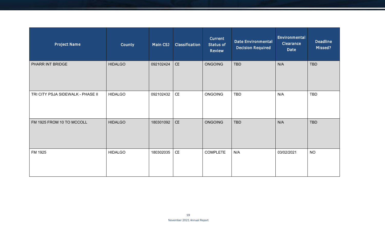| <b>Project Name</b>               | County         | Main CSJ  | Classification                                                     | Current<br>Status of<br><b>Review</b> | <b>Date Environmental</b><br><b>Decision Required</b> | Environmental<br><b>Clearance</b><br>Date | <b>Deadline</b><br>Missed? |
|-----------------------------------|----------------|-----------|--------------------------------------------------------------------|---------------------------------------|-------------------------------------------------------|-------------------------------------------|----------------------------|
| PHARR INT BRIDGE                  | <b>HIDALGO</b> | 092102424 | CE                                                                 | <b>ONGOING</b>                        | <b>TBD</b>                                            | N/A                                       | <b>TBD</b>                 |
| TRI CITY PSJA SIDEWALK - PHASE II | <b>HIDALGO</b> | 092102432 | $\mathsf{CE}% _{\mathcal{A}}\left( \mathcal{A},\mathcal{A}\right)$ | <b>ONGOING</b>                        | <b>TBD</b>                                            | N/A                                       | <b>TBD</b>                 |
| FM 1925 FROM 10 TO MCCOLL         | <b>HIDALGO</b> | 180301092 | CE                                                                 | ONGOING                               | <b>TBD</b>                                            | N/A                                       | <b>TBD</b>                 |
| FM 1925                           | <b>HIDALGO</b> | 180302035 | CE                                                                 | <b>COMPLETE</b>                       | N/A                                                   | 03/02/2021                                | <b>NO</b>                  |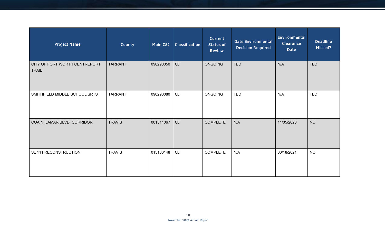| <b>Project Name</b>                           | County         | Main CSJ  | Classification                | <b>Current</b><br><b>Status of</b><br><b>Review</b> | <b>Date Environmental</b><br><b>Decision Required</b> | Environmental<br><b>Clearance</b><br><b>Date</b> | <b>Deadline</b><br>Missed? |
|-----------------------------------------------|----------------|-----------|-------------------------------|-----------------------------------------------------|-------------------------------------------------------|--------------------------------------------------|----------------------------|
| CITY OF FORT WORTH CENTREPORT<br><b>TRAIL</b> | <b>TARRANT</b> | 090290050 | $\mathsf{CE}% _{\mathcal{A}}$ | <b>ONGOING</b>                                      | <b>TBD</b>                                            | N/A                                              | <b>TBD</b>                 |
| SMITHFIELD MIDDLE SCHOOL SRTS                 | <b>TARRANT</b> | 090290080 | CE                            | <b>ONGOING</b>                                      | TBD                                                   | N/A                                              | <b>TBD</b>                 |
| COA N. LAMAR BLVD. CORRIDOR                   | <b>TRAVIS</b>  | 001511067 | <b>CE</b>                     | <b>COMPLETE</b>                                     | N/A                                                   | 11/05/2020                                       | <b>NO</b>                  |
| SL 111 RECONSTRUCTION                         | <b>TRAVIS</b>  | 015106148 | ${\sf CE}$                    | <b>COMPLETE</b>                                     | N/A                                                   | 06/18/2021                                       | <b>NO</b>                  |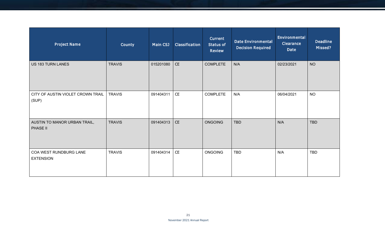| <b>Project Name</b>                        | County        | Main CSJ  | Classification                | <b>Current</b><br><b>Status of</b><br><b>Review</b> | <b>Date Environmental</b><br><b>Decision Required</b> | Environmental<br><b>Clearance</b><br><b>Date</b> | <b>Deadline</b><br>Missed? |
|--------------------------------------------|---------------|-----------|-------------------------------|-----------------------------------------------------|-------------------------------------------------------|--------------------------------------------------|----------------------------|
| US 183 TURN LANES                          | <b>TRAVIS</b> | 015201080 | CE                            | <b>COMPLETE</b>                                     | N/A                                                   | 02/23/2021                                       | <b>NO</b>                  |
| CITY OF AUSTIN VIOLET CROWN TRAIL<br>(SUP) | <b>TRAVIS</b> | 091404311 | CE                            | <b>COMPLETE</b>                                     | N/A                                                   | 06/04/2021                                       | <b>NO</b>                  |
| AUSTIN TO MANOR URBAN TRAIL,<br>PHASE II   | <b>TRAVIS</b> | 091404313 | CE                            | <b>ONGOING</b>                                      | <b>TBD</b>                                            | N/A                                              | <b>TBD</b>                 |
| COA WEST RUNDBURG LANE<br><b>EXTENSION</b> | <b>TRAVIS</b> | 091404314 | $\mathsf{CE}% _{\mathcal{A}}$ | ONGOING                                             | TBD                                                   | N/A                                              | <b>TBD</b>                 |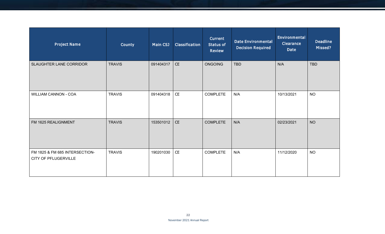| <b>Project Name</b>                                    | County        | Main CSJ  | Classification                | <b>Current</b><br>Status of<br><b>Review</b> | <b>Date Environmental</b><br><b>Decision Required</b> | Environmental<br><b>Clearance</b><br><b>Date</b> | <b>Deadline</b><br>Missed? |
|--------------------------------------------------------|---------------|-----------|-------------------------------|----------------------------------------------|-------------------------------------------------------|--------------------------------------------------|----------------------------|
| SLAUGHTER LANE CORRIDOR                                | <b>TRAVIS</b> | 091404317 | CE                            | <b>ONGOING</b>                               | <b>TBD</b>                                            | N/A                                              | <b>TBD</b>                 |
| <b>WILLIAM CANNON - COA</b>                            | <b>TRAVIS</b> | 091404318 | $\mathsf{CE}% _{\mathcal{A}}$ | <b>COMPLETE</b>                              | N/A                                                   | 10/13/2021                                       | <b>NO</b>                  |
| FM 1625 REALIGNMENT                                    | <b>TRAVIS</b> | 153501012 | CE                            | <b>COMPLETE</b>                              | N/A                                                   | 02/23/2021                                       | <b>NO</b>                  |
| FM 1825 & FM 685 INTERSECTION-<br>CITY OF PFLUGERVILLE | <b>TRAVIS</b> | 190201030 | CE                            | <b>COMPLETE</b>                              | N/A                                                   | 11/12/2020                                       | <b>NO</b>                  |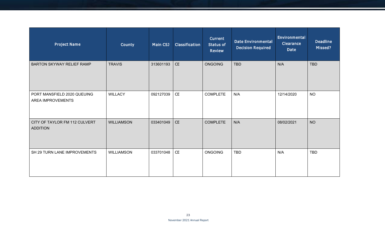| <b>Project Name</b>                              | County            | Main CSJ  | Classification | <b>Current</b><br><b>Status of</b><br><b>Review</b> | <b>Date Environmental</b><br><b>Decision Required</b> | Environmental<br><b>Clearance</b><br><b>Date</b> | <b>Deadline</b><br>Missed? |
|--------------------------------------------------|-------------------|-----------|----------------|-----------------------------------------------------|-------------------------------------------------------|--------------------------------------------------|----------------------------|
| <b>BARTON SKYWAY RELIEF RAMP</b>                 | <b>TRAVIS</b>     | 313601193 | CE             | <b>ONGOING</b>                                      | <b>TBD</b>                                            | N/A                                              | <b>TBD</b>                 |
| PORT MANSFIELD 2020 QUEUING<br>AREA IMPROVEMENTS | <b>WILLACY</b>    | 092127039 | CE             | <b>COMPLETE</b>                                     | N/A                                                   | 12/14/2020                                       | <b>NO</b>                  |
| CITY OF TAYLOR FM 112 CULVERT<br><b>ADDITION</b> | <b>WILLIAMSON</b> | 033401049 | CE             | <b>COMPLETE</b>                                     | N/A                                                   | 08/02/2021                                       | <b>NO</b>                  |
| SH 29 TURN LANE IMPROVEMENTS                     | <b>WILLIAMSON</b> | 033701048 | CE             | <b>ONGOING</b>                                      | <b>TBD</b>                                            | N/A                                              | <b>TBD</b>                 |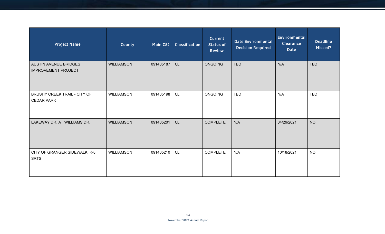| <b>Project Name</b>                                        | County            | Main CSJ  | Classification | <b>Current</b><br><b>Status of</b><br><b>Review</b> | <b>Date Environmental</b><br><b>Decision Required</b> | Environmental<br><b>Clearance</b><br><b>Date</b> | <b>Deadline</b><br>Missed? |
|------------------------------------------------------------|-------------------|-----------|----------------|-----------------------------------------------------|-------------------------------------------------------|--------------------------------------------------|----------------------------|
| <b>AUSTIN AVENUE BRIDGES</b><br><b>IMPROVEMENT PROJECT</b> | <b>WILLIAMSON</b> | 091405187 | CE             | <b>ONGOING</b>                                      | <b>TBD</b>                                            | N/A                                              | <b>TBD</b>                 |
| <b>BRUSHY CREEK TRAIL - CITY OF</b><br><b>CEDAR PARK</b>   | <b>WILLIAMSON</b> | 091405198 | CE             | <b>ONGOING</b>                                      | <b>TBD</b>                                            | N/A                                              | <b>TBD</b>                 |
| LAKEWAY DR. AT WILLIAMS DR.                                | <b>WILLIAMSON</b> | 091405201 | <b>CE</b>      | <b>COMPLETE</b>                                     | N/A                                                   | 04/29/2021                                       | <b>NO</b>                  |
| CITY OF GRANGER SIDEWALK, K-8<br><b>SRTS</b>               | WILLIAMSON        | 091405210 | CE             | <b>COMPLETE</b>                                     | N/A                                                   | 10/18/2021                                       | <b>NO</b>                  |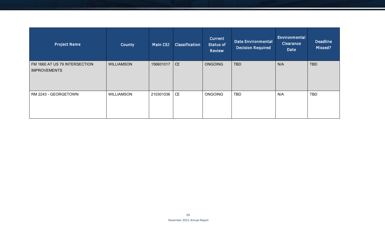| <b>Project Name</b>                                  | County            | <b>Main CSJ</b> | Classification | Current<br><b>Status of</b><br><b>Review</b> | <b>Date Environmental</b><br><b>Decision Required</b> | Environmental<br><b>Clearance</b><br>Date | <b>Deadline</b><br>Missed? |
|------------------------------------------------------|-------------------|-----------------|----------------|----------------------------------------------|-------------------------------------------------------|-------------------------------------------|----------------------------|
| FM 1660 AT US 79 INTERSECTION<br><b>IMPROVEMENTS</b> | <b>WILLIAMSON</b> | 156601017       | <b>CE</b>      | <b>ONGOING</b>                               | <b>TBD</b>                                            | N/A                                       | <b>TBD</b>                 |
| RM 2243 - GEORGETOWN                                 | <b>WILLIAMSON</b> | 210301036       | <b>CE</b>      | <b>ONGOING</b>                               | <b>TBD</b>                                            | N/A                                       | <b>TBD</b>                 |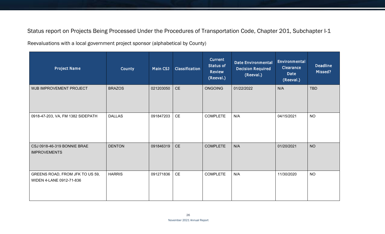Status report on Projects Being Processed Under the Procedures of Transportation Code, Chapter 201, Subchapter I-1

Reevaluations with a local government project sponsor (alphabetical by County)

| <b>Project Name</b>                                         | County        | Main CSJ  | Classification                              | <b>Current</b><br>Status of<br><b>Review</b><br>(Reeval.) | <b>Date Environmental</b><br><b>Decision Required</b><br>(Reeval.) | Environmental<br><b>Clearance</b><br>Date<br>(Reeval.) | <b>Deadline</b><br>Missed? |
|-------------------------------------------------------------|---------------|-----------|---------------------------------------------|-----------------------------------------------------------|--------------------------------------------------------------------|--------------------------------------------------------|----------------------------|
| WJB IMPROVEMENT PROJECT                                     | <b>BRAZOS</b> | 021203050 | <b>CE</b>                                   | <b>ONGOING</b>                                            | 01/22/2022                                                         | N/A                                                    | <b>TBD</b>                 |
| 0918-47-203, VA, FM 1382 SIDEPATH                           | <b>DALLAS</b> | 091847203 | CE                                          | <b>COMPLETE</b>                                           | N/A                                                                | 04/15/2021                                             | <b>NO</b>                  |
| CSJ 0918-46-319 BONNIE BRAE<br><b>IMPROVEMENTS</b>          | <b>DENTON</b> | 091846319 | <b>CE</b>                                   | <b>COMPLETE</b>                                           | N/A                                                                | 01/20/2021                                             | <b>NO</b>                  |
| GREENS ROAD, FROM JFK TO US 59,<br>WIDEN 4-LANE 0912-71-836 | <b>HARRIS</b> | 091271836 | $\mathsf{CE}% _{\mathsf{CE}}^{\mathsf{CE}}$ | <b>COMPLETE</b>                                           | N/A                                                                | 11/30/2020                                             | <b>NO</b>                  |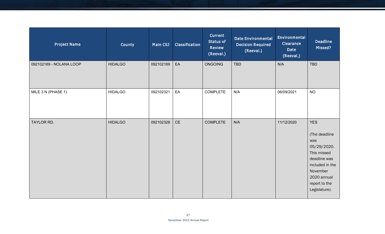| <b>Project Name</b>     | County         | Main CSJ  | Classification                | Current<br><b>Status of</b><br><b>Review</b><br>(Reeval.) | <b>Date Environmental</b><br><b>Decision Required</b><br>(Reeval.) | Environmental<br><b>Clearance</b><br>Date<br>(Reeval.) | <b>Deadline</b><br>Missed?                                                                                                                                       |
|-------------------------|----------------|-----------|-------------------------------|-----------------------------------------------------------|--------------------------------------------------------------------|--------------------------------------------------------|------------------------------------------------------------------------------------------------------------------------------------------------------------------|
| 092102169 - NOLANA LOOP | <b>HIDALGO</b> | 092102169 | EA                            | <b>ONGOING</b>                                            | <b>TBD</b>                                                         | N/A                                                    | TBD                                                                                                                                                              |
| MILE 3 N (PHASE 1)      | <b>HIDALGO</b> | 092102321 | EA                            | COMPLETE                                                  | N/A                                                                | 06/09/2021                                             | <b>NO</b>                                                                                                                                                        |
| TAYLOR RD.              | <b>HIDALGO</b> | 092102328 | $\mathsf{CE}% _{\mathcal{A}}$ | <b>COMPLETE</b>                                           | N/A                                                                | 11/12/2020                                             | <b>YES</b><br>(The deadline<br>was<br>05/29/2020.<br>This missed<br>deadline was<br>included in the<br>November<br>2020 annual<br>report to the<br>Legislature). |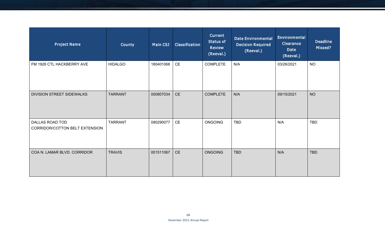| <b>Project Name</b>                               | County         | Main CSJ  | Classification                | Current<br><b>Status of</b><br><b>Review</b><br>(Reeval.) | <b>Date Environmental</b><br><b>Decision Required</b><br>(Reeval.) | Environmental<br><b>Clearance</b><br>Date<br>(Reeval.) | <b>Deadline</b><br>Missed? |
|---------------------------------------------------|----------------|-----------|-------------------------------|-----------------------------------------------------------|--------------------------------------------------------------------|--------------------------------------------------------|----------------------------|
| FM 1926 CTL HACKBERRY AVE                         | <b>HIDALGO</b> | 180401068 | $\mathsf{CE}% _{\mathcal{A}}$ | <b>COMPLETE</b>                                           | N/A                                                                | 03/26/2021                                             | <b>NO</b>                  |
| <b>DIVISION STREET SIDEWALKS</b>                  | <b>TARRANT</b> | 000807034 | CE                            | <b>COMPLETE</b>                                           | N/A                                                                | 09/15/2021                                             | <b>NO</b>                  |
| DALLAS ROAD TOD<br>CORRIDOR/COTTON BELT EXTENSION | <b>TARRANT</b> | 090290077 | CE                            | <b>ONGOING</b>                                            | <b>TBD</b>                                                         | N/A                                                    | <b>TBD</b>                 |
| COA N. LAMAR BLVD. CORRIDOR                       | <b>TRAVIS</b>  | 001511067 | <b>CE</b>                     | <b>ONGOING</b>                                            | <b>TBD</b>                                                         | N/A                                                    | <b>TBD</b>                 |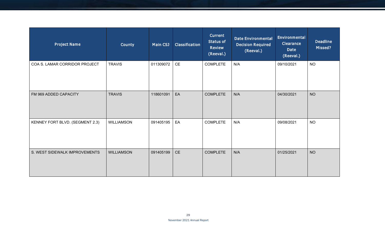| <b>Project Name</b>             | <b>County</b>     | Main CSJ  | Classification | Current<br><b>Status of</b><br><b>Review</b><br>(Reeval.) | <b>Date Environmental</b><br><b>Decision Required</b><br>(Reeval.) | Environmental<br><b>Clearance</b><br>Date<br>(Reeval.) | <b>Deadline</b><br>Missed? |
|---------------------------------|-------------------|-----------|----------------|-----------------------------------------------------------|--------------------------------------------------------------------|--------------------------------------------------------|----------------------------|
| COA S. LAMAR CORRIDOR PROJECT   | <b>TRAVIS</b>     | 011309072 | CE             | <b>COMPLETE</b>                                           | N/A                                                                | 09/10/2021                                             | <b>NO</b>                  |
| FM 969 ADDED CAPACITY           | <b>TRAVIS</b>     | 118601091 | EA             | <b>COMPLETE</b>                                           | N/A                                                                | 04/30/2021                                             | <b>NO</b>                  |
| KENNEY FORT BLVD. (SEGMENT 2.3) | <b>WILLIAMSON</b> | 091405195 | EA             | <b>COMPLETE</b>                                           | N/A                                                                | 09/08/2021                                             | <b>NO</b>                  |
| S. WEST SIDEWALK IMPROVEMENTS   | <b>WILLIAMSON</b> | 091405199 | <b>CE</b>      | <b>COMPLETE</b>                                           | N/A                                                                | 01/25/2021                                             | <b>NO</b>                  |